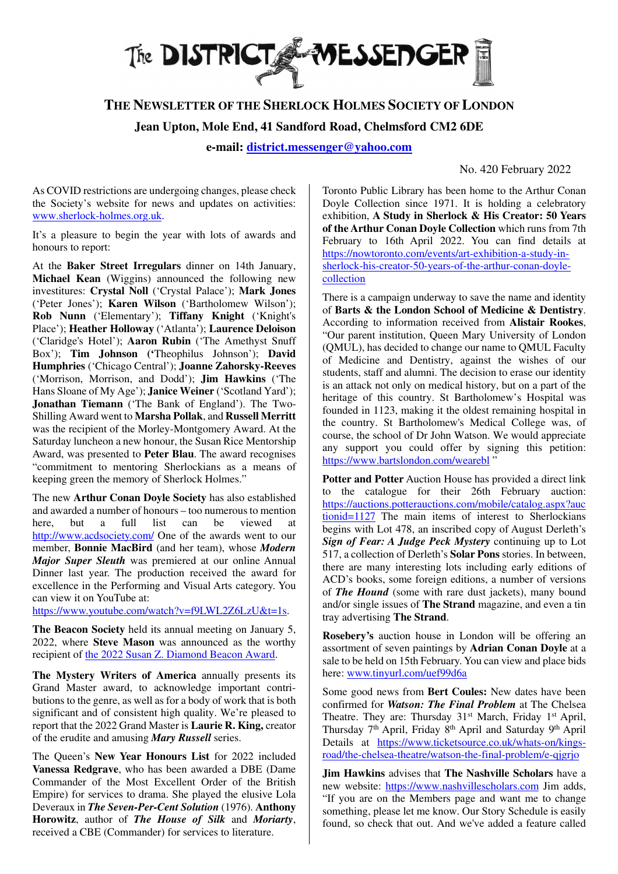

## **THE NEWSLETTER OF THE SHERLOCK HOLMES SOCIETY OF LONDON**

**Jean Upton, Mole End, 41 Sandford Road, Chelmsford CM2 6DE**

**e-mail: district.messenger@yahoo.com**

No. 420 February 2022

As COVID restrictions are undergoing changes, please check the Society's website for news and updates on activities: www.sherlock-holmes.org.uk.

It's a pleasure to begin the year with lots of awards and honours to report:

At the **Baker Street Irregulars** dinner on 14th January, **Michael Kean** (Wiggins) announced the following new investitures: **Crystal Noll** ('Crystal Palace'); **Mark Jones**  ('Peter Jones'); **Karen Wilson** ('Bartholomew Wilson'); **Rob Nunn** ('Elementary'); **Tiffany Knight** ('Knight's Place'); **Heather Holloway** ('Atlanta'); **Laurence Deloison** ('Claridge's Hotel'); **Aaron Rubin** ('The Amethyst Snuff Box'); **Tim Johnson ('**Theophilus Johnson'); **David Humphries** ('Chicago Central'); **Joanne Zahorsky-Reeves**  ('Morrison, Morrison, and Dodd'); **Jim Hawkins** ('The Hans Sloane of My Age'); **Janice Weiner** ('Scotland Yard'); **Jonathan Tiemann** ('The Bank of England'). The Two-Shilling Award went to **Marsha Pollak**, and **Russell Merritt** was the recipient of the Morley-Montgomery Award. At the Saturday luncheon a new honour, the Susan Rice Mentorship Award, was presented to **Peter Blau**. The award recognises "commitment to mentoring Sherlockians as a means of keeping green the memory of Sherlock Holmes."

The new **Arthur Conan Doyle Society** has also established and awarded a number of honours – too numerous to mention here, but a full list can be viewed at http://www.acdsociety.com/ One of the awards went to our member, **Bonnie MacBird** (and her team), whose *Modern Major Super Sleuth* was premiered at our online Annual Dinner last year. The production received the award for excellence in the Performing and Visual Arts category. You can view it on YouTube at:

https://www.youtube.com/watch?v=f9LWL2Z6LzU&t=1s.

**The Beacon Society** held its annual meeting on January 5, 2022, where **Steve Mason** was announced as the worthy recipient of the 2022 Susan Z. Diamond Beacon Award.

**The Mystery Writers of America** annually presents its Grand Master award, to acknowledge important contributions to the genre, as well as for a body of work that is both significant and of consistent high quality. We're pleased to report that the 2022 Grand Master is **Laurie R. King,** creator of the erudite and amusing *Mary Russell* series.

The Queen's **New Year Honours List** for 2022 included **Vanessa Redgrave**, who has been awarded a DBE (Dame Commander of the Most Excellent Order of the British Empire) for services to drama. She played the elusive Lola Deveraux in *The Seven-Per-Cent Solution* (1976). **Anthony Horowitz**, author of *The House of Silk* and *Moriarty*, received a CBE (Commander) for services to literature.

Toronto Public Library has been home to the Arthur Conan Doyle Collection since 1971. It is holding a celebratory exhibition, **A Study in Sherlock & His Creator: 50 Years of the Arthur Conan Doyle Collection** which runs from 7th February to 16th April 2022. You can find details at https://nowtoronto.com/events/art-exhibition-a-study-insherlock-his-creator-50-years-of-the-arthur-conan-doylecollection

There is a campaign underway to save the name and identity of **Barts & the London School of Medicine & Dentistry**. According to information received from **Alistair Rookes**, "Our parent institution, Queen Mary University of London (QMUL), has decided to change our name to QMUL Faculty of Medicine and Dentistry, against the wishes of our students, staff and alumni. The decision to erase our identity is an attack not only on medical history, but on a part of the heritage of this country. St Bartholomew's Hospital was founded in 1123, making it the oldest remaining hospital in the country. St Bartholomew's Medical College was, of course, the school of Dr John Watson. We would appreciate any support you could offer by signing this petition: https://www.bartslondon.com/wearebl "

**Potter and Potter** Auction House has provided a direct link to the catalogue for their 26th February auction: https://auctions.potterauctions.com/mobile/catalog.aspx?auc tionid=1127 The main items of interest to Sherlockians begins with Lot 478, an inscribed copy of August Derleth's *Sign of Fear: A Judge Peck Mystery* continuing up to Lot 517, a collection of Derleth's **Solar Pons** stories. In between, there are many interesting lots including early editions of ACD's books, some foreign editions, a number of versions of *The Hound* (some with rare dust jackets), many bound and/or single issues of **The Strand** magazine, and even a tin tray advertising **The Strand**.

**Rosebery's** auction house in London will be offering an assortment of seven paintings by **Adrian Conan Doyle** at a sale to be held on 15th February. You can view and place bids here: www.tinyurl.com/uef99d6a

Some good news from **Bert Coules:** New dates have been confirmed for *Watson: The Final Problem* at The Chelsea Theatre. They are: Thursday 31<sup>st</sup> March, Friday 1<sup>st</sup> April, Thursday 7<sup>th</sup> April, Friday 8<sup>th</sup> April and Saturday 9<sup>th</sup> April Details at https://www.ticketsource.co.uk/whats-on/kingsroad/the-chelsea-theatre/watson-the-final-problem/e-qjgrjo

**Jim Hawkins** advises that **The Nashville Scholars** have a new website: https://www.nashvillescholars.com Jim adds, "If you are on the Members page and want me to change something, please let me know. Our Story Schedule is easily found, so check that out. And we've added a feature called